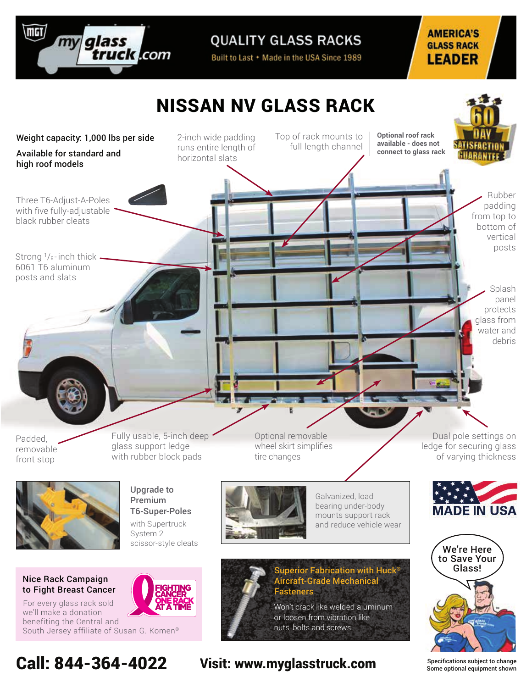

**QUALITY GLASS RACKS** 

Built to Last + Made in the USA Since 1989

#### **AMERICA'S GLASS RACK LEADER**



Specifications subject to change Some optional equipment shown

Call: 844-364-4022 Visit: www.myglasstruck.com